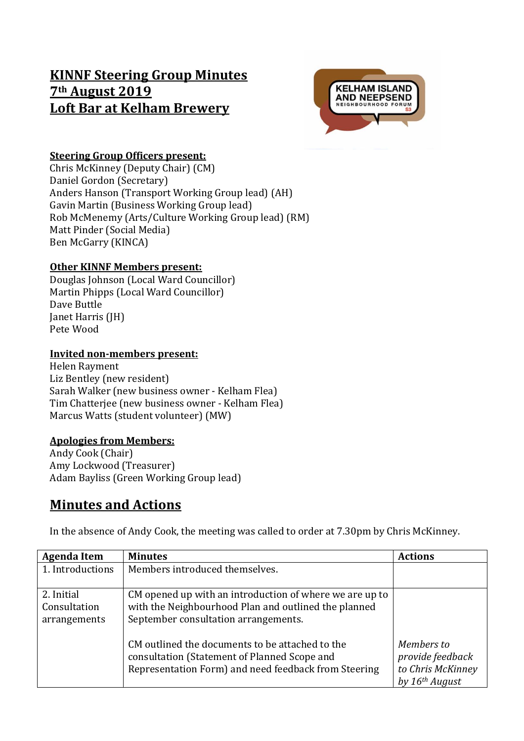# **KINNF Steering Group Minutes 7th August 2019 Loft Bar at Kelham Brewery**



### **Steering Group Officers present:**

Chris McKinney (Deputy Chair) (CM) Daniel Gordon (Secretary) Anders Hanson (Transport Working Group lead) (AH) Gavin Martin (Business Working Group lead) Rob McMenemy (Arts/Culture Working Group lead) (RM) Matt Pinder (Social Media) Ben McGarry (KINCA)

#### **Other KINNF Members present:**

Douglas Johnson (Local Ward Councillor) Martin Phipps (Local Ward Councillor) Dave Buttle Janet Harris (JH) Pete Wood

#### **Invited non-members present:**

Helen Rayment Liz Bentley (new resident) Sarah Walker (new business owner - Kelham Flea) Tim Chatterjee (new business owner - Kelham Flea) Marcus Watts (student volunteer) (MW)

#### **Apologies from Members:**

Andy Cook (Chair) Amy Lockwood (Treasurer) Adam Bayliss (Green Working Group lead)

## **Minutes and Actions**

In the absence of Andy Cook, the meeting was called to order at 7.30pm by Chris McKinney.

| <b>Agenda Item</b>                         | <b>Minutes</b>                                                                                                                                          | <b>Actions</b>                                                                      |
|--------------------------------------------|---------------------------------------------------------------------------------------------------------------------------------------------------------|-------------------------------------------------------------------------------------|
| 1. Introductions                           | Members introduced themselves.                                                                                                                          |                                                                                     |
| 2. Initial<br>Consultation<br>arrangements | CM opened up with an introduction of where we are up to<br>with the Neighbourhood Plan and outlined the planned<br>September consultation arrangements. |                                                                                     |
|                                            | CM outlined the documents to be attached to the<br>consultation (Statement of Planned Scope and<br>Representation Form) and need feedback from Steering | Members to<br>provide feedback<br>to Chris McKinney<br>by $16$ <sup>th</sup> August |